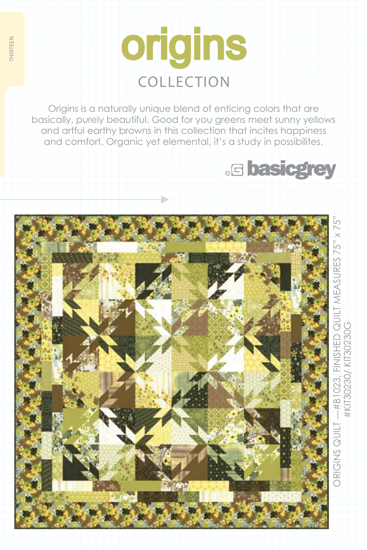## origins collection

thirteen

**THIRTEEN** 

Origins is a naturally unique blend of enticing colors that are basically, purely beautiful. Good for you greens meet sunny yellows and artful earthy browns in this collection that incites happiness and comfort. Organic yet elemental, it's a study in possibilites.



—#B1023, FINISHED QUILT MEASURES 75" x 75" EASURES #KIT30230/ KIT30230GORIGINS QUILT ORIGINS

**G** basicgrey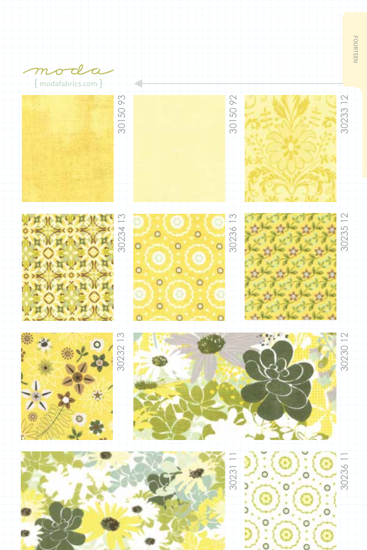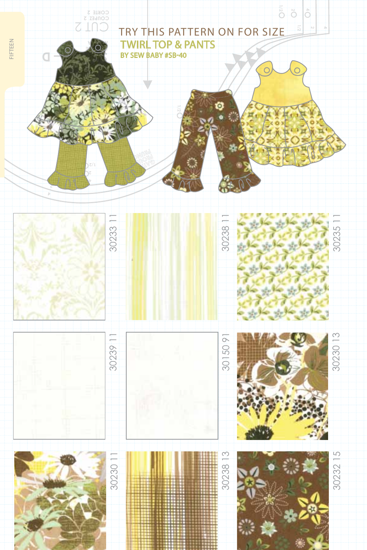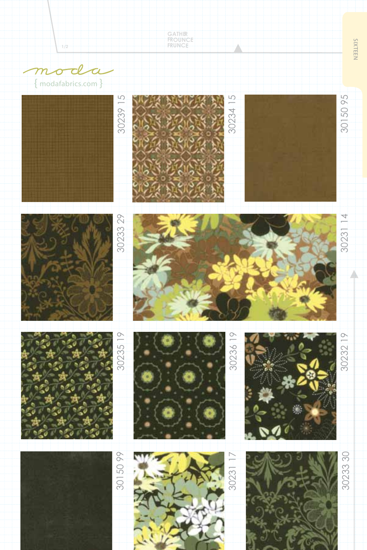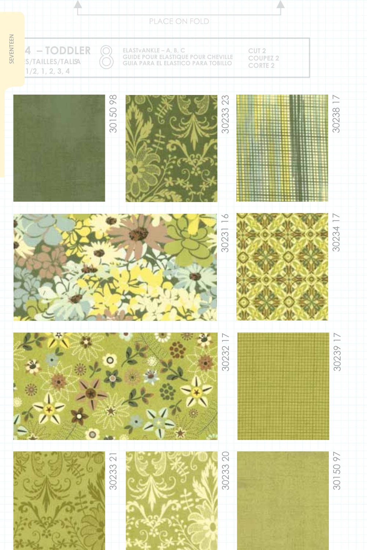